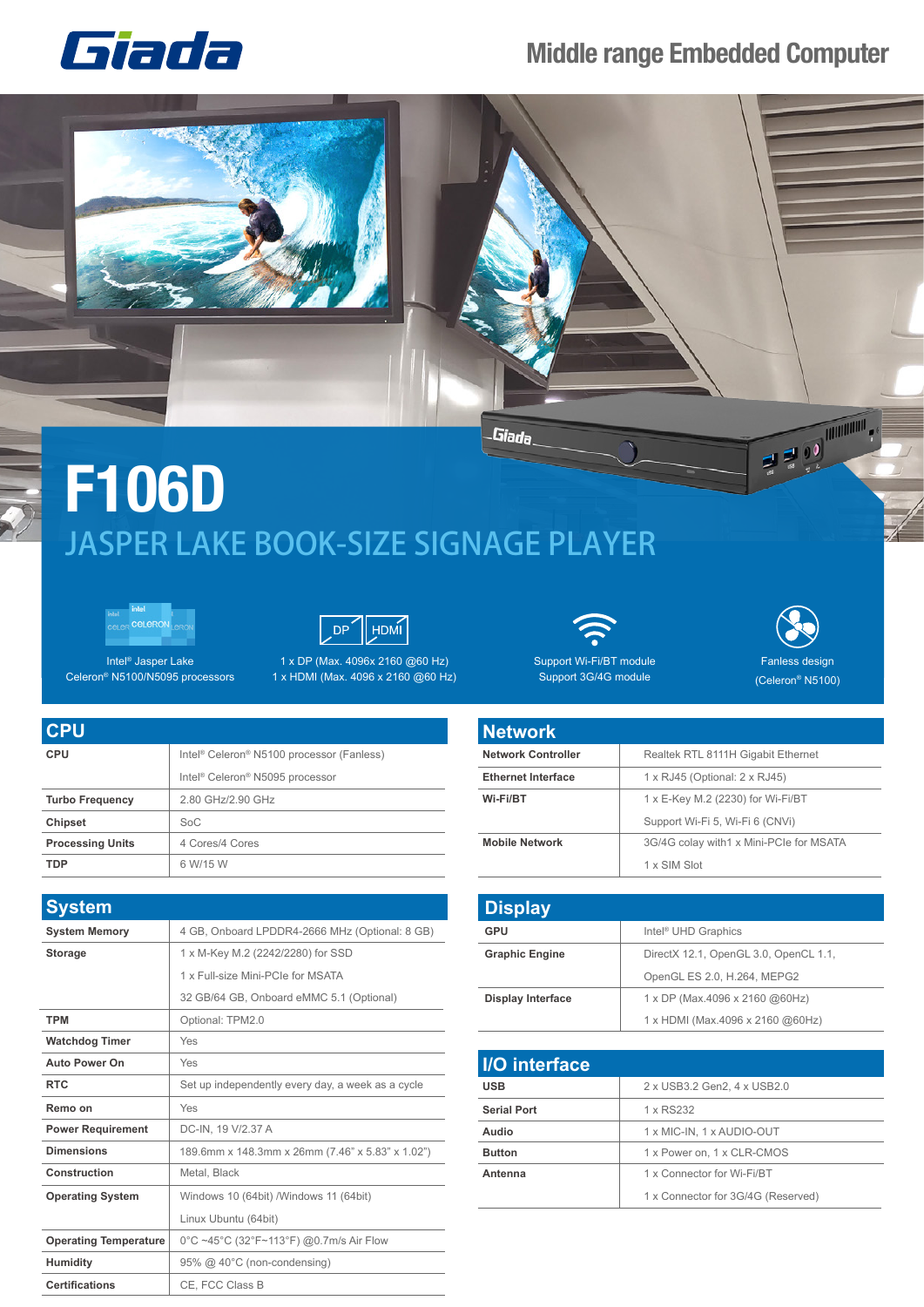

## **Middle range Embedded Computer**







Intel® Jasper Lake Celeron® N5100/N5095 processors

1 x DP (Max. 4096x 2160 @60 Hz) 1 x HDMI (Max. 4096 x 2160 @60 Hz)



Support Wi-Fi/BT module Support 3G/4G module



(Celeron® N5100)

| <b>CPU</b>              |                                                                   |
|-------------------------|-------------------------------------------------------------------|
| <b>CPU</b>              | Intel <sup>®</sup> Celeron <sup>®</sup> N5100 processor (Fanless) |
|                         | Intel <sup>®</sup> Celeron <sup>®</sup> N5095 processor           |
| <b>Turbo Frequency</b>  | 2.80 GHz/2.90 GHz                                                 |
| <b>Chipset</b>          | SoC                                                               |
| <b>Processing Units</b> | 4 Cores/4 Cores                                                   |
| TDP                     | 6 W/15 W                                                          |

| <b>System</b>                |                                                   |
|------------------------------|---------------------------------------------------|
| <b>System Memory</b>         | 4 GB, Onboard LPDDR4-2666 MHz (Optional: 8 GB)    |
| <b>Storage</b>               | 1 x M-Key M.2 (2242/2280) for SSD                 |
|                              | 1 x Full-size Mini-PCIe for MSATA                 |
|                              | 32 GB/64 GB, Onboard eMMC 5.1 (Optional)          |
| <b>TPM</b>                   | Optional: TPM2.0                                  |
| <b>Watchdog Timer</b>        | Yes                                               |
| <b>Auto Power On</b>         | Yes                                               |
| <b>RTC</b>                   | Set up independently every day, a week as a cycle |
| Remo on                      | Yes                                               |
| <b>Power Requirement</b>     | DC-IN, 19 V/2.37 A                                |
| <b>Dimensions</b>            | 189.6mm x 148.3mm x 26mm (7.46" x 5.83" x 1.02")  |
| Construction                 | Metal, Black                                      |
| <b>Operating System</b>      | Windows 10 (64bit) / Windows 11 (64bit)           |
|                              | Linux Ubuntu (64bit)                              |
| <b>Operating Temperature</b> | 0°C ~45°C (32°F~113°F) @0.7m/s Air Flow           |
| <b>Humidity</b>              | 95% @ 40°C (non-condensing)                       |
| <b>Certifications</b>        | CE, FCC Class B                                   |



| <b>Display</b>           |                                       |
|--------------------------|---------------------------------------|
| <b>GPU</b>               | Intel <sup>®</sup> UHD Graphics       |
| <b>Graphic Engine</b>    | DirectX 12.1, OpenGL 3.0, OpenCL 1.1, |
|                          | OpenGL ES 2.0, H.264, MEPG2           |
| <b>Display Interface</b> | 1 x DP (Max.4096 x 2160 @60Hz)        |
|                          | 1 x HDMI (Max.4096 x 2160 @60Hz)      |

| <b>I/O</b> interface |                                    |
|----------------------|------------------------------------|
| <b>USB</b>           | 2 x USB3.2 Gen2, 4 x USB2.0        |
| <b>Serial Port</b>   | 1 x RS232                          |
| Audio                | 1 x MIC-IN, 1 x AUDIO-OUT          |
| <b>Button</b>        | 1 x Power on, 1 x CLR-CMOS         |
| Antenna              | 1 x Connector for Wi-Fi/BT         |
|                      | 1 x Connector for 3G/4G (Reserved) |